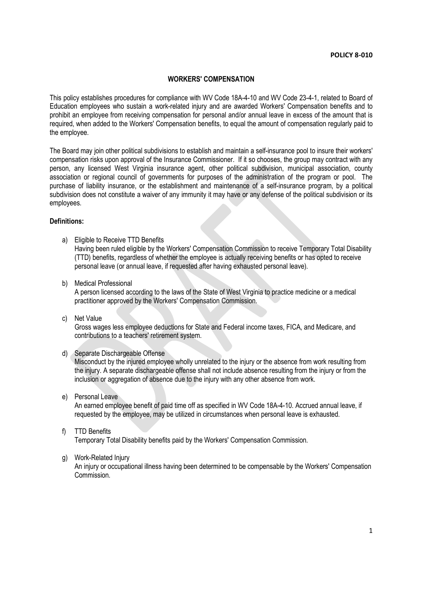#### **WORKERS' COMPENSATION**

This policy establishes procedures for compliance with WV Code 18A-4-10 and WV Code 23-4-1, related to Board of Education employees who sustain a work-related injury and are awarded Workers' Compensation benefits and to prohibit an employee from receiving compensation for personal and/or annual leave in excess of the amount that is required, when added to the Workers' Compensation benefits, to equal the amount of compensation regularly paid to the employee.

The Board may join other political subdivisions to establish and maintain a self-insurance pool to insure their workers' compensation risks upon approval of the Insurance Commissioner. If it so chooses, the group may contract with any person, any licensed West Virginia insurance agent, other political subdivision, municipal association, county association or regional council of governments for purposes of the administration of the program or pool. The purchase of liability insurance, or the establishment and maintenance of a self-insurance program, by a political subdivision does not constitute a waiver of any immunity it may have or any defense of the political subdivision or its employees.

#### **Definitions:**

a) Eligible to Receive TTD Benefits

Having been ruled eligible by the Workers' Compensation Commission to receive Temporary Total Disability (TTD) benefits, regardless of whether the employee is actually receiving benefits or has opted to receive personal leave (or annual leave, if requested after having exhausted personal leave).

b) Medical Professional

A person licensed according to the laws of the State of West Virginia to practice medicine or a medical practitioner approved by the Workers' Compensation Commission.

c) Net Value

Gross wages less employee deductions for State and Federal income taxes, FICA, and Medicare, and contributions to a teachers' retirement system.

d) Separate Dischargeable Offense

Misconduct by the injured employee wholly unrelated to the injury or the absence from work resulting from the injury. A separate dischargeable offense shall not include absence resulting from the injury or from the inclusion or aggregation of absence due to the injury with any other absence from work.

e) Personal Leave

An earned employee benefit of paid time off as specified in WV Code 18A-4-10. Accrued annual leave, if requested by the employee, may be utilized in circumstances when personal leave is exhausted.

f) TTD Benefits Temporary Total Disability benefits paid by the Workers' Compensation Commission.

### g) Work-Related Injury

An injury or occupational illness having been determined to be compensable by the Workers' Compensation Commission.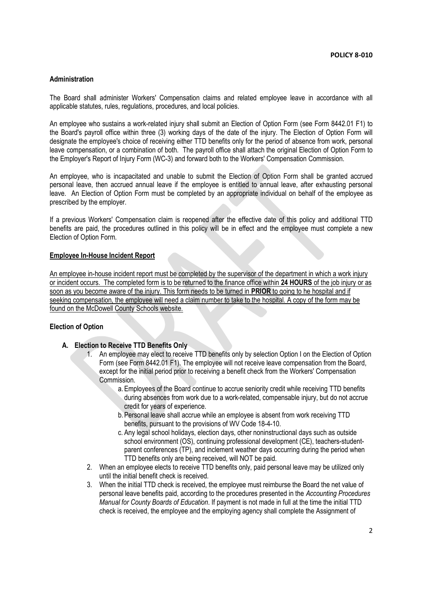#### **Administration**

The Board shall administer Workers' Compensation claims and related employee leave in accordance with all applicable statutes, rules, regulations, procedures, and local policies.

An employee who sustains a work-related injury shall submit an Election of Option Form (see Form 8442.01 F1) to the Board's payroll office within three (3) working days of the date of the injury. The Election of Option Form will designate the employee's choice of receiving either TTD benefits only for the period of absence from work, personal leave compensation, or a combination of both. The payroll office shall attach the original Election of Option Form to the Employer's Report of Injury Form (WC-3) and forward both to the Workers' Compensation Commission.

An employee, who is incapacitated and unable to submit the Election of Option Form shall be granted accrued personal leave, then accrued annual leave if the employee is entitled to annual leave, after exhausting personal leave. An Election of Option Form must be completed by an appropriate individual on behalf of the employee as prescribed by the employer.

If a previous Workers' Compensation claim is reopened after the effective date of this policy and additional TTD benefits are paid, the procedures outlined in this policy will be in effect and the employee must complete a new Election of Option Form.

## **Employee In-House Incident Report**

An employee in-house incident report must be completed by the supervisor of the department in which a work injury or incident occurs. The completed form is to be returned to the finance office within **24 HOURS** of the job injury or as soon as you become aware of the injury. This form needs to be turned in **PRIOR** to going to he hospital and if seeking compensation, the employee will need a claim number to take to the hospital. A copy of the form may be found on the McDowell County Schools website.

## **Election of Option**

#### **A. Election to Receive TTD Benefits Only**

- 1. An employee may elect to receive TTD benefits only by selection Option I on the Election of Option Form (see Form 8442.01 F1). The employee will not receive leave compensation from the Board, except for the initial period prior to receiving a benefit check from the Workers' Compensation **Commission** 
	- a.Employees of the Board continue to accrue seniority credit while receiving TTD benefits during absences from work due to a work-related, compensable injury, but do not accrue credit for years of experience.
	- b.Personal leave shall accrue while an employee is absent from work receiving TTD benefits, pursuant to the provisions of WV Code 18-4-10.
	- c. Any legal school holidays, election days, other noninstructional days such as outside school environment (OS), continuing professional development (CE), teachers-studentparent conferences (TP), and inclement weather days occurring during the period when TTD benefits only are being received, will NOT be paid.
- 2. When an employee elects to receive TTD benefits only, paid personal leave may be utilized only until the initial benefit check is received.
- 3. When the initial TTD check is received, the employee must reimburse the Board the net value of personal leave benefits paid, according to the procedures presented in the *Accounting Procedures Manual for County Boards of Education*. If payment is not made in full at the time the initial TTD check is received, the employee and the employing agency shall complete the Assignment of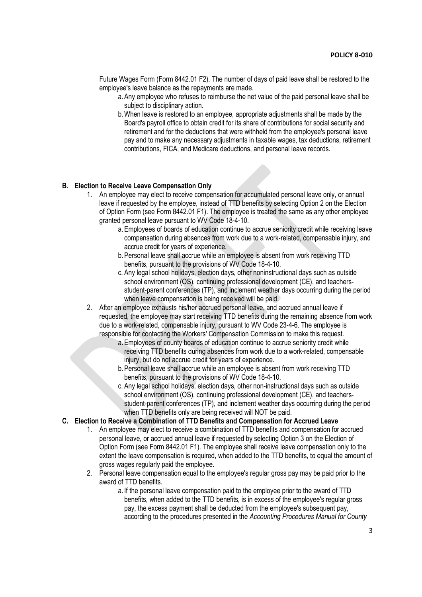Future Wages Form (Form 8442.01 F2). The number of days of paid leave shall be restored to the employee's leave balance as the repayments are made.

- a.Any employee who refuses to reimburse the net value of the paid personal leave shall be subject to disciplinary action.
- b.When leave is restored to an employee, appropriate adjustments shall be made by the Board's payroll office to obtain credit for its share of contributions for social security and retirement and for the deductions that were withheld from the employee's personal leave pay and to make any necessary adjustments in taxable wages, tax deductions, retirement contributions, FICA, and Medicare deductions, and personal leave records.

### **B. Election to Receive Leave Compensation Only**

- 1. An employee may elect to receive compensation for accumulated personal leave only, or annual leave if requested by the employee, instead of TTD benefits by selecting Option 2 on the Election of Option Form (see Form 8442.01 F1). The employee is treated the same as any other employee granted personal leave pursuant to WV Code 18-4-10.
	- a.Employees of boards of education continue to accrue seniority credit while receiving leave compensation during absences from work due to a work-related, compensable injury, and accrue credit for years of experience.
	- b.Personal leave shall accrue while an employee is absent from work receiving TTD benefits, pursuant to the provisions of WV Code 18-4-10.
	- c. Any legal school holidays, election days, other noninstructional days such as outside school environment (OS), continuing professional development (CE), and teachersstudent-parent conferences (TP), and inclement weather days occurring during the period when leave compensation is being received will be paid.
- 2. After an employee exhausts his/her accrued personal leave, and accrued annual leave if requested, the employee may start receiving TTD benefits during the remaining absence from work due to a work-related, compensable injury, pursuant to WV Code 23-4-6. The employee is responsible for contacting the Workers' Compensation Commission to make this request.
	- a.Employees of county boards of education continue to accrue seniority credit while receiving TTD benefits during absences from work due to a work-related, compensable injury, but do not accrue credit for years of experience.
	- b.Personal leave shall accrue while an employee is absent from work receiving TTD benefits, pursuant to the provisions of WV Code 18-4-10.
	- c. Any legal school holidays, election days, other non-instructional days such as outside school environment (OS), continuing professional development (CE), and teachersstudent-parent conferences (TP), and inclement weather days occurring during the period when TTD benefits only are being received will NOT be paid.

## **C. Election to Receive a Combination of TTD Benefits and Compensation for Accrued Leave**

- 1. An employee may elect to receive a combination of TTD benefits and compensation for accrued personal leave, or accrued annual leave if requested by selecting Option 3 on the Election of Option Form (see Form 8442.01 F1). The employee shall receive leave compensation only to the extent the leave compensation is required, when added to the TTD benefits, to equal the amount of gross wages regularly paid the employee.
- 2. Personal leave compensation equal to the employee's regular gross pay may be paid prior to the award of TTD benefits.
	- a. If the personal leave compensation paid to the employee prior to the award of TTD benefits, when added to the TTD benefits, is in excess of the employee's regular gross pay, the excess payment shall be deducted from the employee's subsequent pay, according to the procedures presented in the *Accounting Procedures Manual for County*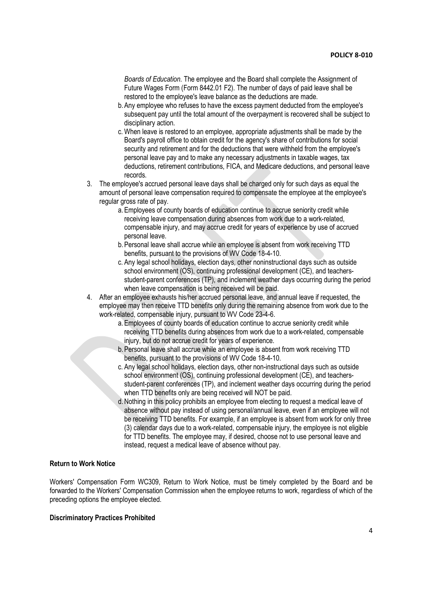*Boards of Education*. The employee and the Board shall complete the Assignment of Future Wages Form (Form 8442.01 F2). The number of days of paid leave shall be restored to the employee's leave balance as the deductions are made.

- b.Any employee who refuses to have the excess payment deducted from the employee's subsequent pay until the total amount of the overpayment is recovered shall be subject to disciplinary action.
- c. When leave is restored to an employee, appropriate adjustments shall be made by the Board's payroll office to obtain credit for the agency's share of contributions for social security and retirement and for the deductions that were withheld from the employee's personal leave pay and to make any necessary adjustments in taxable wages, tax deductions, retirement contributions, FICA, and Medicare deductions, and personal leave records.
- 3. The employee's accrued personal leave days shall be charged only for such days as equal the amount of personal leave compensation required to compensate the employee at the employee's regular gross rate of pay.
	- a.Employees of county boards of education continue to accrue seniority credit while receiving leave compensation during absences from work due to a work-related, compensable injury, and may accrue credit for years of experience by use of accrued personal leave.
	- b.Personal leave shall accrue while an employee is absent from work receiving TTD benefits, pursuant to the provisions of WV Code 18-4-10.
	- c. Any legal school holidays, election days, other noninstructional days such as outside school environment (OS), continuing professional development (CE), and teachersstudent-parent conferences (TP), and inclement weather days occurring during the period when leave compensation is being received will be paid.
- 4. After an employee exhausts his/her accrued personal leave, and annual leave if requested, the employee may then receive TTD benefits only during the remaining absence from work due to the work-related, compensable injury, pursuant to WV Code 23-4-6.
	- a.Employees of county boards of education continue to accrue seniority credit while receiving TTD benefits during absences from work due to a work-related, compensable injury, but do not accrue credit for years of experience.
	- b.Personal leave shall accrue while an employee is absent from work receiving TTD benefits, pursuant to the provisions of WV Code 18-4-10.
	- c. Any legal school holidays, election days, other non-instructional days such as outside school environment (OS), continuing professional development (CE), and teachersstudent-parent conferences (TP), and inclement weather days occurring during the period when TTD benefits only are being received will NOT be paid.
	- d.Nothing in this policy prohibits an employee from electing to request a medical leave of absence without pay instead of using personal/annual leave, even if an employee will not be receiving TTD benefits. For example, if an employee is absent from work for only three (3) calendar days due to a work-related, compensable injury, the employee is not eligible for TTD benefits. The employee may, if desired, choose not to use personal leave and instead, request a medical leave of absence without pay.

# **Return to Work Notice**

Workers' Compensation Form WC309, Return to Work Notice, must be timely completed by the Board and be forwarded to the Workers' Compensation Commission when the employee returns to work, regardless of which of the preceding options the employee elected.

#### **Discriminatory Practices Prohibited**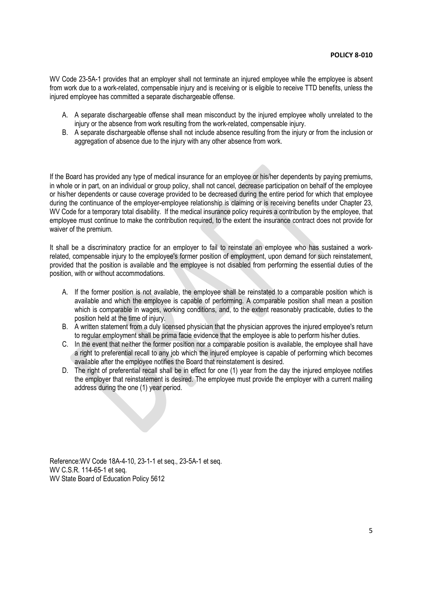WV Code 23-5A-1 provides that an employer shall not terminate an injured employee while the employee is absent from work due to a work-related, compensable injury and is receiving or is eligible to receive TTD benefits, unless the injured employee has committed a separate dischargeable offense.

- A. A separate dischargeable offense shall mean misconduct by the injured employee wholly unrelated to the injury or the absence from work resulting from the work-related, compensable injury.
- B. A separate dischargeable offense shall not include absence resulting from the injury or from the inclusion or aggregation of absence due to the injury with any other absence from work.

If the Board has provided any type of medical insurance for an employee or his/her dependents by paying premiums, in whole or in part, on an individual or group policy, shall not cancel, decrease participation on behalf of the employee or his/her dependents or cause coverage provided to be decreased during the entire period for which that employee during the continuance of the employer-employee relationship is claiming or is receiving benefits under Chapter 23, WV Code for a temporary total disability. If the medical insurance policy requires a contribution by the employee, that employee must continue to make the contribution required, to the extent the insurance contract does not provide for waiver of the premium.

It shall be a discriminatory practice for an employer to fail to reinstate an employee who has sustained a workrelated, compensable injury to the employee's former position of employment, upon demand for such reinstatement, provided that the position is available and the employee is not disabled from performing the essential duties of the position, with or without accommodations.

- A. If the former position is not available, the employee shall be reinstated to a comparable position which is available and which the employee is capable of performing. A comparable position shall mean a position which is comparable in wages, working conditions, and, to the extent reasonably practicable, duties to the position held at the time of injury.
- B. A written statement from a duly licensed physician that the physician approves the injured employee's return to regular employment shall be prima facie evidence that the employee is able to perform his/her duties.
- C. In the event that neither the former position nor a comparable position is available, the employee shall have a right to preferential recall to any job which the injured employee is capable of performing which becomes available after the employee notifies the Board that reinstatement is desired.
- D. The right of preferential recall shall be in effect for one (1) year from the day the injured employee notifies the employer that reinstatement is desired. The employee must provide the employer with a current mailing address during the one (1) year period.

Reference:WV Code 18A-4-10, 23-1-1 et seq., 23-5A-1 et seq. WV C.S.R. 114-65-1 et seq. WV State Board of Education Policy 5612